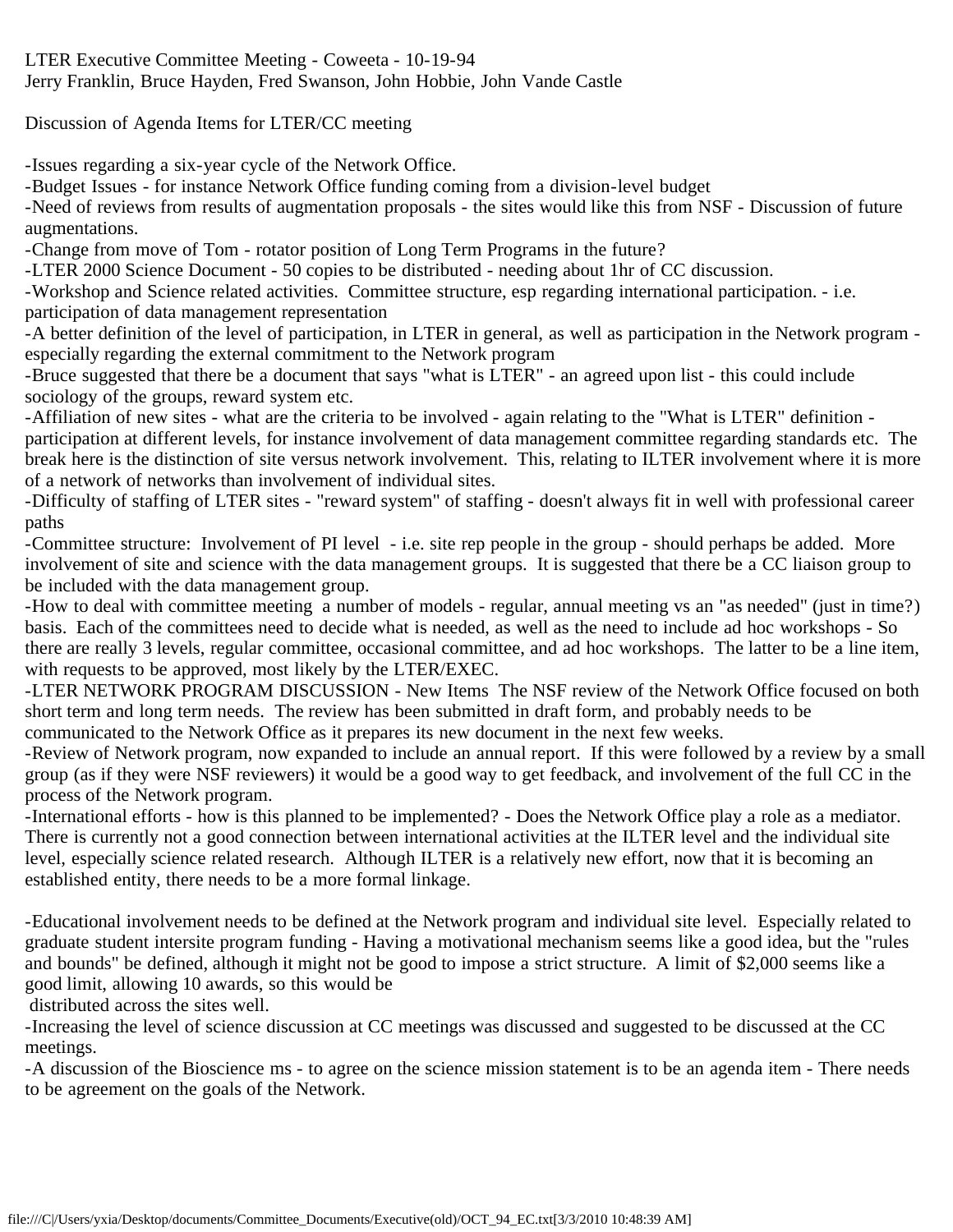LTER Executive Committee Meeting - Coweeta - 10-19-94 Jerry Franklin, Bruce Hayden, Fred Swanson, John Hobbie, John Vande Castle

Discussion of Agenda Items for LTER/CC meeting

-Issues regarding a six-year cycle of the Network Office.

-Budget Issues - for instance Network Office funding coming from a division-level budget

-Need of reviews from results of augmentation proposals - the sites would like this from NSF - Discussion of future augmentations.

-Change from move of Tom - rotator position of Long Term Programs in the future?

-LTER 2000 Science Document - 50 copies to be distributed - needing about 1hr of CC discussion.

-Workshop and Science related activities. Committee structure, esp regarding international participation. - i.e. participation of data management representation

-A better definition of the level of participation, in LTER in general, as well as participation in the Network program especially regarding the external commitment to the Network program

-Bruce suggested that there be a document that says "what is LTER" - an agreed upon list - this could include sociology of the groups, reward system etc.

-Affiliation of new sites - what are the criteria to be involved - again relating to the "What is LTER" definition participation at different levels, for instance involvement of data management committee regarding standards etc. The break here is the distinction of site versus network involvement. This, relating to ILTER involvement where it is more of a network of networks than involvement of individual sites.

-Difficulty of staffing of LTER sites - "reward system" of staffing - doesn't always fit in well with professional career paths

-Committee structure: Involvement of PI level - i.e. site rep people in the group - should perhaps be added. More involvement of site and science with the data management groups. It is suggested that there be a CC liaison group to be included with the data management group.

-How to deal with committee meeting a number of models - regular, annual meeting vs an "as needed" (just in time?) basis. Each of the committees need to decide what is needed, as well as the need to include ad hoc workshops - So there are really 3 levels, regular committee, occasional committee, and ad hoc workshops. The latter to be a line item, with requests to be approved, most likely by the LTER/EXEC.

-LTER NETWORK PROGRAM DISCUSSION - New Items The NSF review of the Network Office focused on both short term and long term needs. The review has been submitted in draft form, and probably needs to be communicated to the Network Office as it prepares its new document in the next few weeks.

-Review of Network program, now expanded to include an annual report. If this were followed by a review by a small group (as if they were NSF reviewers) it would be a good way to get feedback, and involvement of the full CC in the process of the Network program.

-International efforts - how is this planned to be implemented? - Does the Network Office play a role as a mediator. There is currently not a good connection between international activities at the ILTER level and the individual site level, especially science related research. Although ILTER is a relatively new effort, now that it is becoming an established entity, there needs to be a more formal linkage.

-Educational involvement needs to be defined at the Network program and individual site level. Especially related to graduate student intersite program funding - Having a motivational mechanism seems like a good idea, but the "rules and bounds" be defined, although it might not be good to impose a strict structure. A limit of \$2,000 seems like a good limit, allowing 10 awards, so this would be

distributed across the sites well.

-Increasing the level of science discussion at CC meetings was discussed and suggested to be discussed at the CC meetings.

-A discussion of the Bioscience ms - to agree on the science mission statement is to be an agenda item - There needs to be agreement on the goals of the Network.